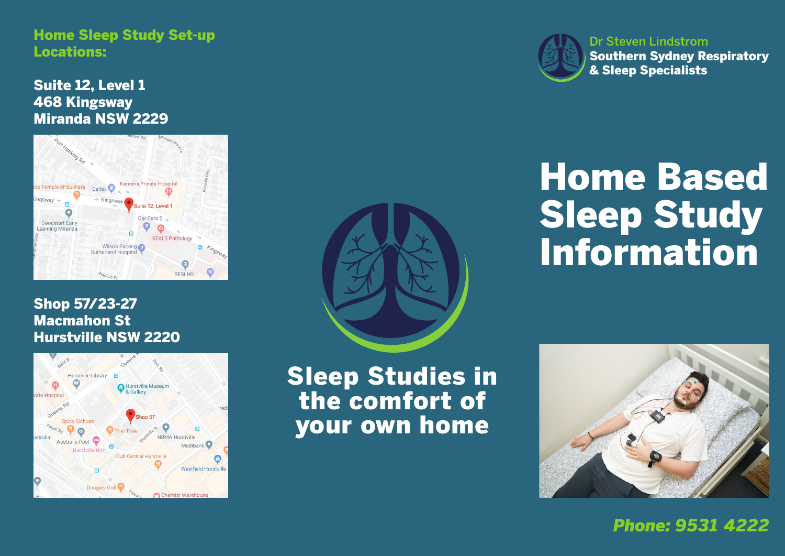Home Sleep Study Set-up Locations:

Suite 12, Level 1 468 Kingsway Miranda NSW 2229



#### Shop 57/23-27 Macmahon St Hurstville NSW 2220





Sleep Studies in the comfort of your own home



**Southern Sydney** Southern Sydney Respiratory **Respiratory & Sleep** & Sleep Specialists Dr Steven Lindstrom

# Home Based Sleep Study **Southern Sydney**



*Phone: 9531 4222*